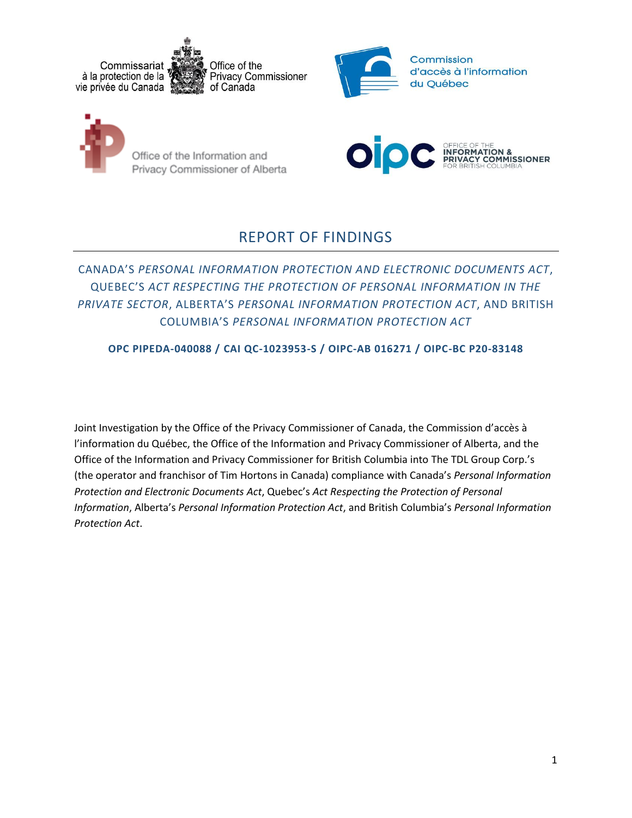





Office of the Information and Privacy Commissioner of Alberta



# REPORT OF FINDINGS

## CANADA'S *PERSONAL INFORMATION PROTECTION AND ELECTRONIC DOCUMENTS ACT*, QUEBEC'S *ACT RESPECTING THE PROTECTION OF PERSONAL INFORMATION IN THE PRIVATE SECTOR*, ALBERTA'S *PERSONAL INFORMATION PROTECTION ACT*, AND BRITISH COLUMBIA'S *PERSONAL INFORMATION PROTECTION ACT*

### **OPC PIPEDA-040088 / CAI QC-1023953-S / OIPC-AB 016271 / OIPC-BC P20-83148**

Joint Investigation by the Office of the Privacy Commissioner of Canada, the Commission d'accès à l'information du Québec, the Office of the Information and Privacy Commissioner of Alberta, and the Office of the Information and Privacy Commissioner for British Columbia into The TDL Group Corp.'s (the operator and franchisor of Tim Hortons in Canada) compliance with Canada's *Personal Information Protection and Electronic Documents Act*, Quebec's *Act Respecting the Protection of Personal Information*, Alberta's *Personal Information Protection Act*, and British Columbia's *Personal Information Protection Act*.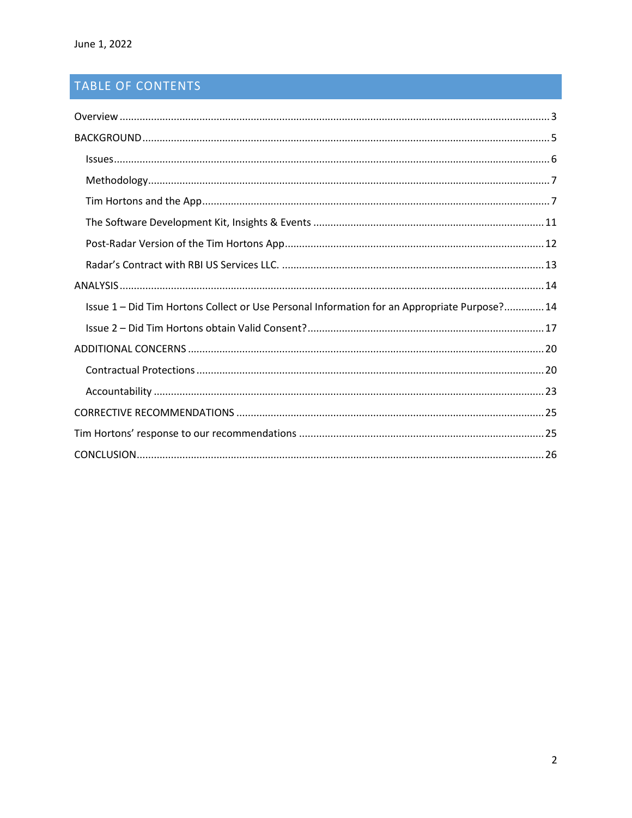# TABLE OF CONTENTS

| Issue 1 – Did Tim Hortons Collect or Use Personal Information for an Appropriate Purpose? 14 |  |
|----------------------------------------------------------------------------------------------|--|
|                                                                                              |  |
|                                                                                              |  |
|                                                                                              |  |
|                                                                                              |  |
|                                                                                              |  |
|                                                                                              |  |
|                                                                                              |  |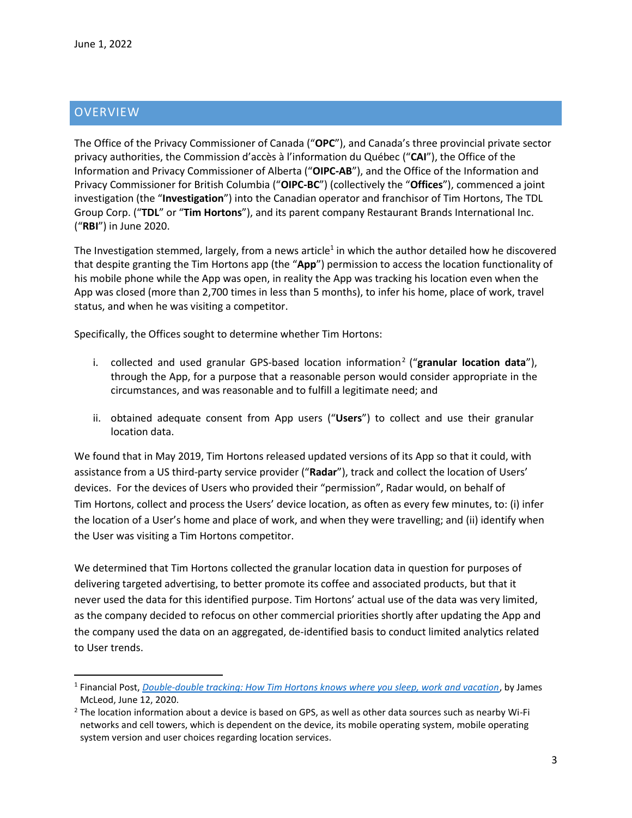### <span id="page-2-0"></span>**OVERVIEW**

 $\overline{\phantom{a}}$ 

The Office of the Privacy Commissioner of Canada ("**OPC**"), and Canada's three provincial private sector privacy authorities, the Commission d'accès à l'information du Québec ("**CAI**"), the Office of the Information and Privacy Commissioner of Alberta ("**OIPC-AB**"), and the Office of the Information and Privacy Commissioner for British Columbia ("**OIPC-BC**") (collectively the "**Offices**"), commenced a joint investigation (the "**Investigation**") into the Canadian operator and franchisor of Tim Hortons, The TDL Group Corp. ("**TDL**" or "**Tim Hortons**"), and its parent company Restaurant Brands International Inc. ("**RBI**") in June 2020.

The Investigation stemmed, largely, from a news article<sup>1</sup> in which the author detailed how he discovered that despite granting the Tim Hortons app (the "**App**") permission to access the location functionality of his mobile phone while the App was open, in reality the App was tracking his location even when the App was closed (more than 2,700 times in less than 5 months), to infer his home, place of work, travel status, and when he was visiting a competitor.

Specifically, the Offices sought to determine whether Tim Hortons:

- i. collected and used granular GPS-based location information<sup>2</sup> ("granular location data"), through the App, for a purpose that a reasonable person would consider appropriate in the circumstances, and was reasonable and to fulfill a legitimate need; and
- ii. obtained adequate consent from App users ("**Users**") to collect and use their granular location data.

We found that in May 2019, Tim Hortons released updated versions of its App so that it could, with assistance from a US third-party service provider ("**Radar**"), track and collect the location of Users' devices. For the devices of Users who provided their "permission", Radar would, on behalf of Tim Hortons, collect and process the Users' device location, as often as every few minutes, to: (i) infer the location of a User's home and place of work, and when they were travelling; and (ii) identify when the User was visiting a Tim Hortons competitor.

We determined that Tim Hortons collected the granular location data in question for purposes of delivering targeted advertising, to better promote its coffee and associated products, but that it never used the data for this identified purpose. Tim Hortons' actual use of the data was very limited, as the company decided to refocus on other commercial priorities shortly after updating the App and the company used the data on an aggregated, de-identified basis to conduct limited analytics related to User trends.

<sup>&</sup>lt;sup>1</sup> Financial Post, *[Double-double tracking: How Tim Hortons knows where you sleep, work and vacation](https://financialpost.com/technology/tim-hortons-app-tracking-customers-intimate-data), by James* McLeod, June 12, 2020.

<sup>&</sup>lt;sup>2</sup> The location information about a device is based on GPS, as well as other data sources such as nearby Wi-Fi networks and cell towers, which is dependent on the device, its mobile operating system, mobile operating system version and user choices regarding location services.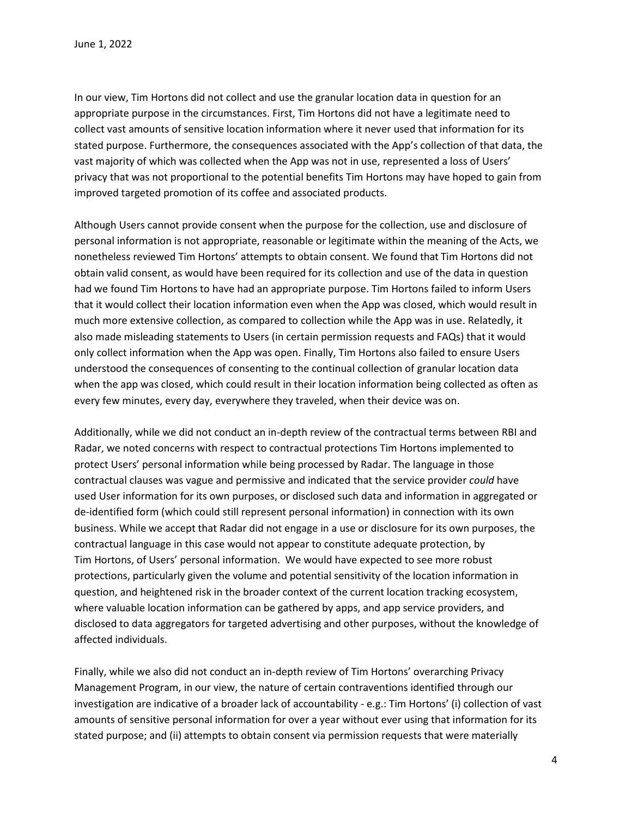In our view, Tim Hortons did not collect and use the granular location data in question for an appropriate purpose in the circumstances. First, Tim Hortons did not have a legitimate need to collect vast amounts of sensitive location information where it never used that information for its stated purpose. Furthermore, the consequences associated with the App's collection of that data, the vast majority of which was collected when the App was not in use, represented a loss of Users' privacy that was not proportional to the potential benefits Tim Hortons may have hoped to gain from improved targeted promotion of its coffee and associated products.

Although Users cannot provide consent when the purpose for the collection, use and disclosure of personal information is not appropriate, reasonable or legitimate within the meaning of the Acts, we nonetheless reviewed Tim Hortons' attempts to obtain consent. We found that Tim Hortons did not obtain valid consent, as would have been required for its collection and use of the data in question had we found Tim Hortons to have had an appropriate purpose. Tim Hortons failed to inform Users that it would collect their location information even when the App was closed, which would result in much more extensive collection, as compared to collection while the App was in use. Relatedly, it also made misleading statements to Users (in certain permission requests and FAQs) that it would only collect information when the App was open. Finally, Tim Hortons also failed to ensure Users understood the consequences of consenting to the continual collection of granular location data when the app was closed, which could result in their location information being collected as often as every few minutes, every day, everywhere they traveled, when their device was on.

Additionally, while we did not conduct an in-depth review of the contractual terms between RBI and Radar, we noted concerns with respect to contractual protections Tim Hortons implemented to protect Users' personal information while being processed by Radar. The language in those contractual clauses was vague and permissive and indicated that the service provider *could* have used User information for its own purposes, or disclosed such data and information in aggregated or de-identified form (which could still represent personal information) in connection with its own business. While we accept that Radar did not engage in a use or disclosure for its own purposes, the contractual language in this case would not appear to constitute adequate protection, by Tim Hortons, of Users' personal information. We would have expected to see more robust protections, particularly given the volume and potential sensitivity of the location information in question, and heightened risk in the broader context of the current location tracking ecosystem, where valuable location information can be gathered by apps, and app service providers, and disclosed to data aggregators for targeted advertising and other purposes, without the knowledge of affected individuals.

Finally, while we also did not conduct an in-depth review of Tim Hortons' overarching Privacy Management Program, in our view, the nature of certain contraventions identified through our investigation are indicative of a broader lack of accountability - e.g.: Tim Hortons' (i) collection of vast amounts of sensitive personal information for over a year without ever using that information for its stated purpose; and (ii) attempts to obtain consent via permission requests that were materially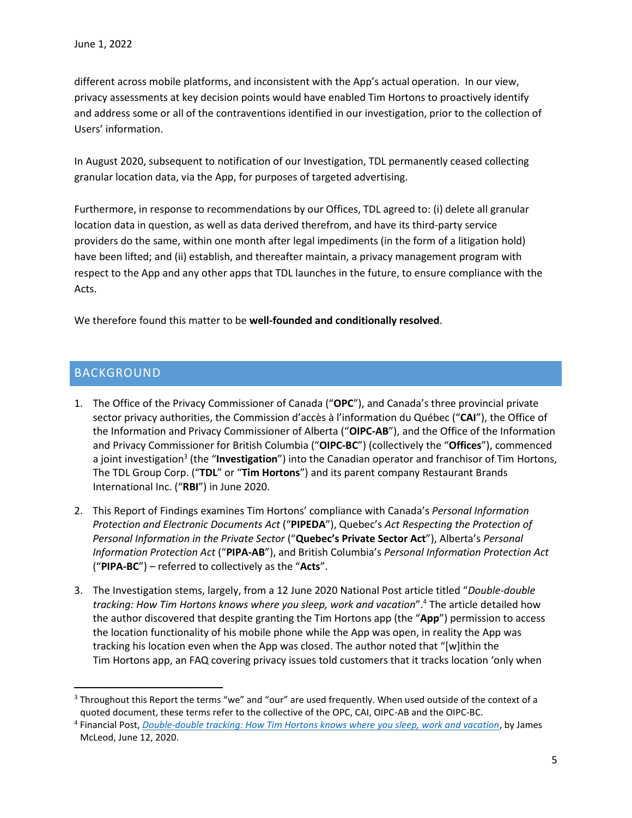different across mobile platforms, and inconsistent with the App's actual operation. In our view, privacy assessments at key decision points would have enabled Tim Hortons to proactively identify and address some or all of the contraventions identified in our investigation, prior to the collection of Users' information.

In August 2020, subsequent to notification of our Investigation, TDL permanently ceased collecting granular location data, via the App, for purposes of targeted advertising.

Furthermore, in response to recommendations by our Offices, TDL agreed to: (i) delete all granular location data in question, as well as data derived therefrom, and have its third-party service providers do the same, within one month after legal impediments (in the form of a litigation hold) have been lifted; and (ii) establish, and thereafter maintain, a privacy management program with respect to the App and any other apps that TDL launches in the future, to ensure compliance with the Acts.

We therefore found this matter to be **well-founded and conditionally resolved**.

### <span id="page-4-0"></span>BACKGROUND

l

- 1. The Office of the Privacy Commissioner of Canada ("**OPC**"), and Canada's three provincial private sector privacy authorities, the Commission d'accès à l'information du Québec ("**CAI**"), the Office of the Information and Privacy Commissioner of Alberta ("**OIPC-AB**"), and the Office of the Information and Privacy Commissioner for British Columbia ("**OIPC-BC**") (collectively the "**Offices**"), commenced a joint investigation<sup>3</sup> (the "**Investigation**") into the Canadian operator and franchisor of Tim Hortons, The TDL Group Corp. ("**TDL**" or "**Tim Hortons**") and its parent company Restaurant Brands International Inc. ("**RBI**") in June 2020.
- 2. This Report of Findings examines Tim Hortons' compliance with Canada's *Personal Information Protection and Electronic Documents Act* ("**PIPEDA**"), Quebec's *Act Respecting the Protection of Personal Information in the Private Sector* ("**Quebec's Private Sector Act**"), Alberta's *Personal Information Protection Act* ("**PIPA-AB**"), and British Columbia's *Personal Information Protection Act* ("**PIPA-BC**") – referred to collectively as the "**Acts**".
- 3. The Investigation stems, largely, from a 12 June 2020 National Post article titled "*Double-double tracking: How Tim Hortons knows where you sleep, work and vacation*". <sup>4</sup> The article detailed how the author discovered that despite granting the Tim Hortons app (the "**App**") permission to access the location functionality of his mobile phone while the App was open, in reality the App was tracking his location even when the App was closed. The author noted that "[w]ithin the Tim Hortons app, an FAQ covering privacy issues told customers that it tracks location 'only when

<sup>&</sup>lt;sup>3</sup> Throughout this Report the terms "we" and "our" are used frequently. When used outside of the context of a quoted document, these terms refer to the collective of the OPC, CAI, OIPC-AB and the OIPC-BC.

<sup>4</sup> Financial Post, *[Double-double tracking: How Tim Hortons knows where you sleep, work and vacation](https://financialpost.com/technology/tim-hortons-app-tracking-customers-intimate-data)*, by James McLeod, June 12, 2020.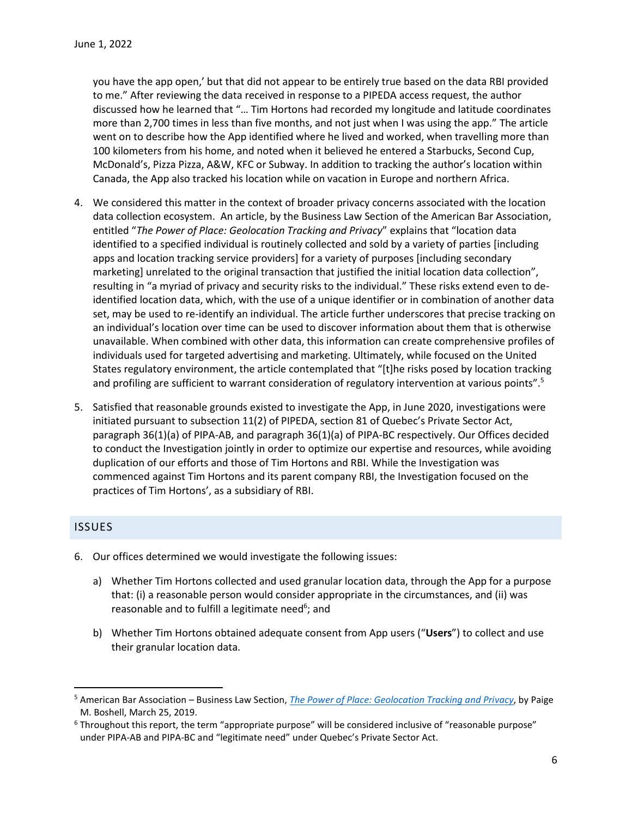you have the app open,' but that did not appear to be entirely true based on the data RBI provided to me." After reviewing the data received in response to a PIPEDA access request, the author discussed how he learned that "… Tim Hortons had recorded my longitude and latitude coordinates more than 2,700 times in less than five months, and not just when I was using the app." The article went on to describe how the App identified where he lived and worked, when travelling more than 100 kilometers from his home, and noted when it believed he entered a Starbucks, Second Cup, McDonald's, Pizza Pizza, A&W, KFC or Subway. In addition to tracking the author's location within Canada, the App also tracked his location while on vacation in Europe and northern Africa.

- 4. We considered this matter in the context of broader privacy concerns associated with the location data collection ecosystem. An article, by the Business Law Section of the American Bar Association, entitled "*The Power of Place: Geolocation Tracking and Privacy*" explains that "location data identified to a specified individual is routinely collected and sold by a variety of parties [including apps and location tracking service providers] for a variety of purposes [including secondary marketing] unrelated to the original transaction that justified the initial location data collection", resulting in "a myriad of privacy and security risks to the individual." These risks extend even to deidentified location data, which, with the use of a unique identifier or in combination of another data set, may be used to re-identify an individual. The article further underscores that precise tracking on an individual's location over time can be used to discover information about them that is otherwise unavailable. When combined with other data, this information can create comprehensive profiles of individuals used for targeted advertising and marketing. Ultimately, while focused on the United States regulatory environment, the article contemplated that "[t]he risks posed by location tracking and profiling are sufficient to warrant consideration of regulatory intervention at various points".<sup>5</sup>
- 5. Satisfied that reasonable grounds existed to investigate the App, in June 2020, investigations were initiated pursuant to subsection 11(2) of PIPEDA, section 81 of Quebec's Private Sector Act, paragraph 36(1)(a) of PIPA-AB, and paragraph 36(1)(a) of PIPA-BC respectively. Our Offices decided to conduct the Investigation jointly in order to optimize our expertise and resources, while avoiding duplication of our efforts and those of Tim Hortons and RBI. While the Investigation was commenced against Tim Hortons and its parent company RBI, the Investigation focused on the practices of Tim Hortons', as a subsidiary of RBI.

#### <span id="page-5-0"></span>ISSUES

l

- 6. Our offices determined we would investigate the following issues:
	- a) Whether Tim Hortons collected and used granular location data, through the App for a purpose that: (i) a reasonable person would consider appropriate in the circumstances, and (ii) was reasonable and to fulfill a legitimate need<sup>6</sup>; and
	- b) Whether Tim Hortons obtained adequate consent from App users ("**Users**") to collect and use their granular location data.

<sup>5</sup> American Bar Association – Business Law Section, *[The Power of Place: Geolocation Tracking and Privacy](https://businesslawtoday.org/2019/03/power-place-geolocation-tracking-privacy/)*, by Paige M. Boshell, March 25, 2019.

 $6$  Throughout this report, the term "appropriate purpose" will be considered inclusive of "reasonable purpose" under PIPA-AB and PIPA-BC and "legitimate need" under Quebec's Private Sector Act.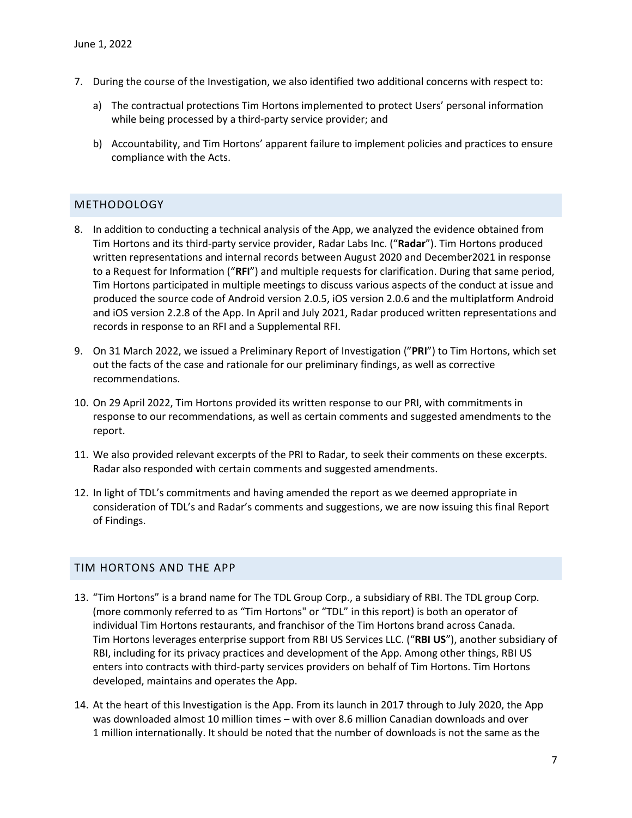- 7. During the course of the Investigation, we also identified two additional concerns with respect to:
	- a) The contractual protections Tim Hortons implemented to protect Users' personal information while being processed by a third-party service provider; and
	- b) Accountability, and Tim Hortons' apparent failure to implement policies and practices to ensure compliance with the Acts.

#### <span id="page-6-0"></span>METHODOLOGY

- 8. In addition to conducting a technical analysis of the App, we analyzed the evidence obtained from Tim Hortons and its third-party service provider, Radar Labs Inc. ("**Radar**"). Tim Hortons produced written representations and internal records between August 2020 and December2021 in response to a Request for Information ("**RFI**") and multiple requests for clarification. During that same period, Tim Hortons participated in multiple meetings to discuss various aspects of the conduct at issue and produced the source code of Android version 2.0.5, iOS version 2.0.6 and the multiplatform Android and iOS version 2.2.8 of the App. In April and July 2021, Radar produced written representations and records in response to an RFI and a Supplemental RFI.
- 9. On 31 March 2022, we issued a Preliminary Report of Investigation ("**PRI**") to Tim Hortons, which set out the facts of the case and rationale for our preliminary findings, as well as corrective recommendations.
- 10. On 29 April 2022, Tim Hortons provided its written response to our PRI, with commitments in response to our recommendations, as well as certain comments and suggested amendments to the report.
- 11. We also provided relevant excerpts of the PRI to Radar, to seek their comments on these excerpts. Radar also responded with certain comments and suggested amendments.
- 12. In light of TDL's commitments and having amended the report as we deemed appropriate in consideration of TDL's and Radar's comments and suggestions, we are now issuing this final Report of Findings.

### <span id="page-6-1"></span>TIM HORTONS AND THE APP

- 13. "Tim Hortons" is a brand name for The TDL Group Corp., a subsidiary of RBI. The TDL group Corp. (more commonly referred to as "Tim Hortons" or "TDL" in this report) is both an operator of individual Tim Hortons restaurants, and franchisor of the Tim Hortons brand across Canada. Tim Hortons leverages enterprise support from RBI US Services LLC. ("**RBI US**"), another subsidiary of RBI, including for its privacy practices and development of the App. Among other things, RBI US enters into contracts with third-party services providers on behalf of Tim Hortons. Tim Hortons developed, maintains and operates the App.
- 14. At the heart of this Investigation is the App. From its launch in 2017 through to July 2020, the App was downloaded almost 10 million times – with over 8.6 million Canadian downloads and over 1 million internationally. It should be noted that the number of downloads is not the same as the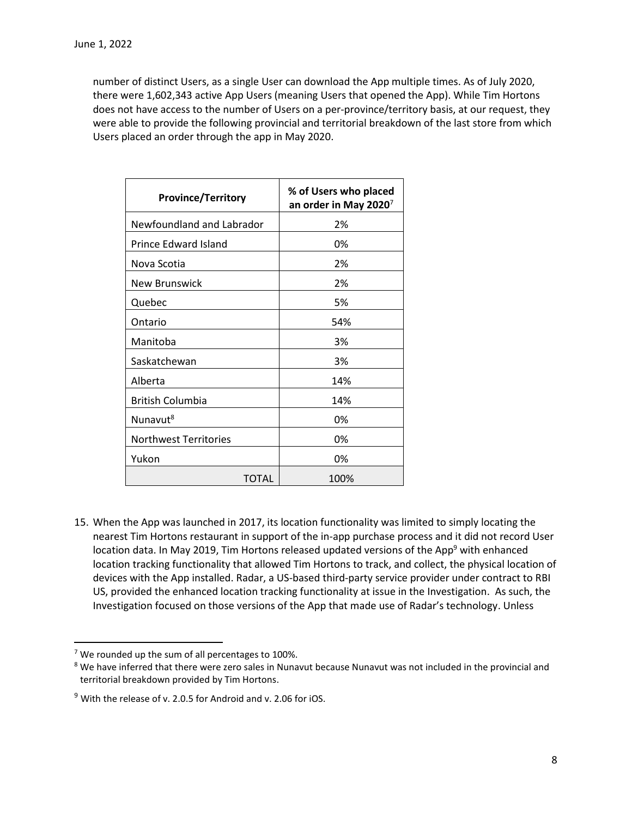number of distinct Users, as a single User can download the App multiple times. As of July 2020, there were 1,602,343 active App Users (meaning Users that opened the App). While Tim Hortons does not have access to the number of Users on a per-province/territory basis, at our request, they were able to provide the following provincial and territorial breakdown of the last store from which Users placed an order through the app in May 2020.

| <b>Province/Territory</b>    | % of Users who placed<br>an order in May 2020 $^7$ |
|------------------------------|----------------------------------------------------|
| Newfoundland and Labrador    | 2%                                                 |
| Prince Edward Island         | 0%                                                 |
| Nova Scotia                  | 2%                                                 |
| New Brunswick                | 2%                                                 |
| Quebec                       | 5%                                                 |
| Ontario                      | 54%                                                |
| Manitoba                     | 3%                                                 |
| Saskatchewan                 | 3%                                                 |
| Alberta                      | 14%                                                |
| <b>British Columbia</b>      | 14%                                                |
| Nunavut <sup>8</sup>         | 0%                                                 |
| <b>Northwest Territories</b> | 0%                                                 |
| Yukon                        | 0%                                                 |
| TOTAL                        | 100%                                               |

15. When the App was launched in 2017, its location functionality was limited to simply locating the nearest Tim Hortons restaurant in support of the in-app purchase process and it did not record User location data. In May 2019, Tim Hortons released updated versions of the App<sup>9</sup> with enhanced location tracking functionality that allowed Tim Hortons to track, and collect, the physical location of devices with the App installed. Radar, a US-based third-party service provider under contract to RBI US, provided the enhanced location tracking functionality at issue in the Investigation. As such, the Investigation focused on those versions of the App that made use of Radar's technology. Unless

 $\overline{\phantom{a}}$ 

 $7$  We rounded up the sum of all percentages to 100%.

<sup>&</sup>lt;sup>8</sup> We have inferred that there were zero sales in Nunavut because Nunavut was not included in the provincial and territorial breakdown provided by Tim Hortons.

<sup>&</sup>lt;sup>9</sup> With the release of v. 2.0.5 for Android and v. 2.06 for iOS.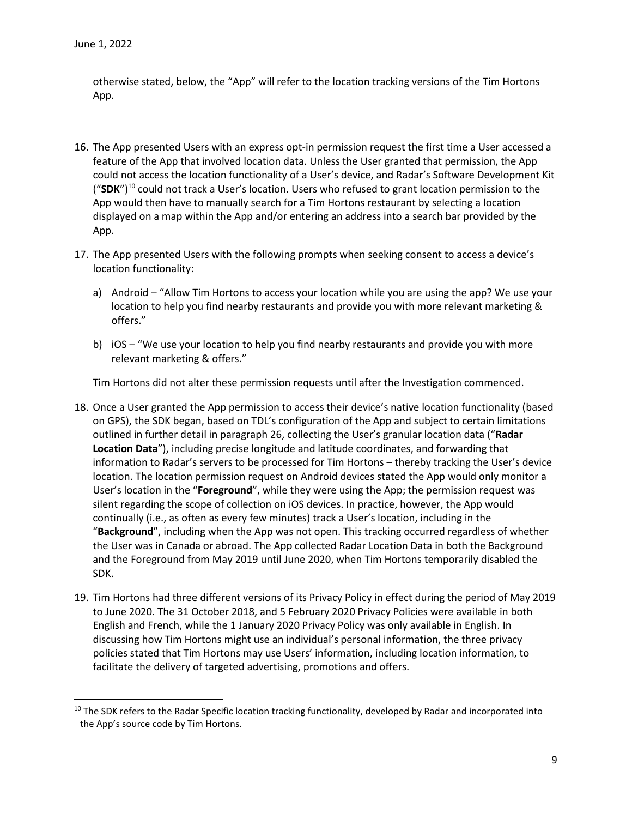$\overline{\phantom{a}}$ 

otherwise stated, below, the "App" will refer to the location tracking versions of the Tim Hortons App.

- 16. The App presented Users with an express opt-in permission request the first time a User accessed a feature of the App that involved location data. Unless the User granted that permission, the App could not access the location functionality of a User's device, and Radar's Software Development Kit ("**SDK**")<sup>10</sup> could not track a User's location. Users who refused to grant location permission to the App would then have to manually search for a Tim Hortons restaurant by selecting a location displayed on a map within the App and/or entering an address into a search bar provided by the App.
- 17. The App presented Users with the following prompts when seeking consent to access a device's location functionality:
	- a) Android "Allow Tim Hortons to access your location while you are using the app? We use your location to help you find nearby restaurants and provide you with more relevant marketing & offers."
	- b) iOS "We use your location to help you find nearby restaurants and provide you with more relevant marketing & offers."

Tim Hortons did not alter these permission requests until after the Investigation commenced.

- 18. Once a User granted the App permission to access their device's native location functionality (based on GPS), the SDK began, based on TDL's configuration of the App and subject to certain limitations outlined in further detail in paragraph 26, collecting the User's granular location data ("**Radar Location Data**"), including precise longitude and latitude coordinates, and forwarding that information to Radar's servers to be processed for Tim Hortons – thereby tracking the User's device location. The location permission request on Android devices stated the App would only monitor a User's location in the "**Foreground**", while they were using the App; the permission request was silent regarding the scope of collection on iOS devices. In practice, however, the App would continually (i.e., as often as every few minutes) track a User's location, including in the "**Background**", including when the App was not open. This tracking occurred regardless of whether the User was in Canada or abroad. The App collected Radar Location Data in both the Background and the Foreground from May 2019 until June 2020, when Tim Hortons temporarily disabled the SDK.
- 19. Tim Hortons had three different versions of its Privacy Policy in effect during the period of May 2019 to June 2020. The 31 October 2018, and 5 February 2020 Privacy Policies were available in both English and French, while the 1 January 2020 Privacy Policy was only available in English. In discussing how Tim Hortons might use an individual's personal information, the three privacy policies stated that Tim Hortons may use Users' information, including location information, to facilitate the delivery of targeted advertising, promotions and offers.

 $10$  The SDK refers to the Radar Specific location tracking functionality, developed by Radar and incorporated into the App's source code by Tim Hortons.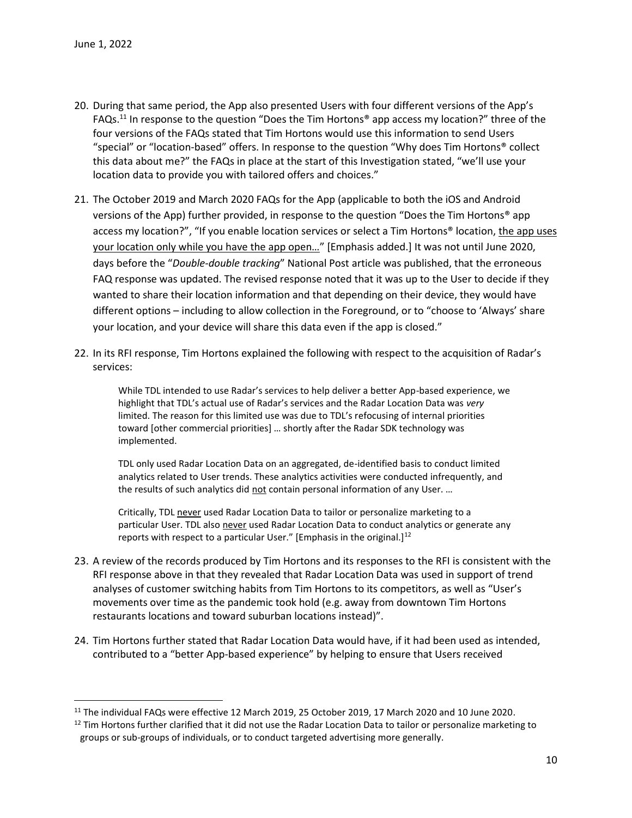$\overline{a}$ 

- 20. During that same period, the App also presented Users with four different versions of the App's FAQs.<sup>11</sup> In response to the question "Does the Tim Hortons® app access my location?" three of the four versions of the FAQs stated that Tim Hortons would use this information to send Users "special" or "location-based" offers. In response to the question "Why does Tim Hortons® collect this data about me?" the FAQs in place at the start of this Investigation stated, "we'll use your location data to provide you with tailored offers and choices."
- 21. The October 2019 and March 2020 FAQs for the App (applicable to both the iOS and Android versions of the App) further provided, in response to the question "Does the Tim Hortons® app access my location?", "If you enable location services or select a Tim Hortons® location, the app uses your location only while you have the app open…" [Emphasis added.] It was not until June 2020, days before the "*Double-double tracking*" National Post article was published, that the erroneous FAQ response was updated. The revised response noted that it was up to the User to decide if they wanted to share their location information and that depending on their device, they would have different options – including to allow collection in the Foreground, or to "choose to 'Always' share your location, and your device will share this data even if the app is closed."
- 22. In its RFI response, Tim Hortons explained the following with respect to the acquisition of Radar's services:

While TDL intended to use Radar's services to help deliver a better App-based experience, we highlight that TDL's actual use of Radar's services and the Radar Location Data was *very* limited. The reason for this limited use was due to TDL's refocusing of internal priorities toward [other commercial priorities] … shortly after the Radar SDK technology was implemented.

TDL only used Radar Location Data on an aggregated, de-identified basis to conduct limited analytics related to User trends. These analytics activities were conducted infrequently, and the results of such analytics did not contain personal information of any User. ...

Critically, TDL never used Radar Location Data to tailor or personalize marketing to a particular User. TDL also never used Radar Location Data to conduct analytics or generate any reports with respect to a particular User." [Emphasis in the original.]<sup>12</sup>

- 23. A review of the records produced by Tim Hortons and its responses to the RFI is consistent with the RFI response above in that they revealed that Radar Location Data was used in support of trend analyses of customer switching habits from Tim Hortons to its competitors, as well as "User's movements over time as the pandemic took hold (e.g. away from downtown Tim Hortons restaurants locations and toward suburban locations instead)".
- 24. Tim Hortons further stated that Radar Location Data would have, if it had been used as intended, contributed to a "better App-based experience" by helping to ensure that Users received

<sup>&</sup>lt;sup>11</sup> The individual FAQs were effective 12 March 2019, 25 October 2019, 17 March 2020 and 10 June 2020.

 $12$  Tim Hortons further clarified that it did not use the Radar Location Data to tailor or personalize marketing to groups or sub-groups of individuals, or to conduct targeted advertising more generally.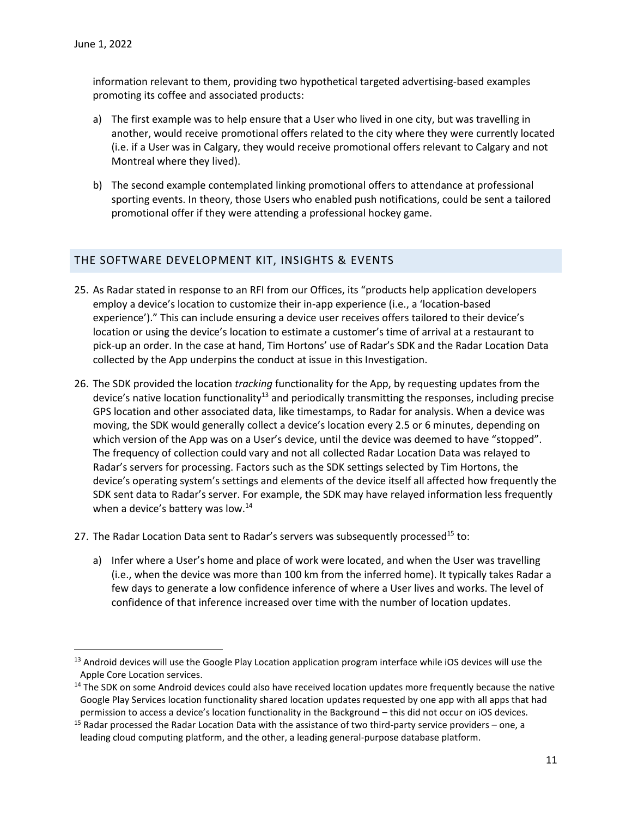$\overline{\phantom{a}}$ 

information relevant to them, providing two hypothetical targeted advertising-based examples promoting its coffee and associated products:

- a) The first example was to help ensure that a User who lived in one city, but was travelling in another, would receive promotional offers related to the city where they were currently located (i.e. if a User was in Calgary, they would receive promotional offers relevant to Calgary and not Montreal where they lived).
- b) The second example contemplated linking promotional offers to attendance at professional sporting events. In theory, those Users who enabled push notifications, could be sent a tailored promotional offer if they were attending a professional hockey game.

#### <span id="page-10-0"></span>THE SOFTWARE DEVELOPMENT KIT, INSIGHTS & EVENTS

- 25. As Radar stated in response to an RFI from our Offices, its "products help application developers employ a device's location to customize their in-app experience (i.e., a 'location-based experience')." This can include ensuring a device user receives offers tailored to their device's location or using the device's location to estimate a customer's time of arrival at a restaurant to pick-up an order. In the case at hand, Tim Hortons' use of Radar's SDK and the Radar Location Data collected by the App underpins the conduct at issue in this Investigation.
- 26. The SDK provided the location *tracking* functionality for the App, by requesting updates from the device's native location functionality<sup>13</sup> and periodically transmitting the responses, including precise GPS location and other associated data, like timestamps, to Radar for analysis. When a device was moving, the SDK would generally collect a device's location every 2.5 or 6 minutes, depending on which version of the App was on a User's device, until the device was deemed to have "stopped". The frequency of collection could vary and not all collected Radar Location Data was relayed to Radar's servers for processing. Factors such as the SDK settings selected by Tim Hortons, the device's operating system's settings and elements of the device itself all affected how frequently the SDK sent data to Radar's server. For example, the SDK may have relayed information less frequently when a device's battery was low.<sup>14</sup>
- 27. The Radar Location Data sent to Radar's servers was subsequently processed<sup>15</sup> to:
	- a) Infer where a User's home and place of work were located, and when the User was travelling (i.e., when the device was more than 100 km from the inferred home). It typically takes Radar a few days to generate a low confidence inference of where a User lives and works. The level of confidence of that inference increased over time with the number of location updates.

<sup>&</sup>lt;sup>13</sup> Android devices will use the Google Play Location application program interface while iOS devices will use the Apple Core Location services.

<sup>&</sup>lt;sup>14</sup> The SDK on some Android devices could also have received location updates more frequently because the native Google Play Services location functionality shared location updates requested by one app with all apps that had permission to access a device's location functionality in the Background – this did not occur on iOS devices.

<sup>&</sup>lt;sup>15</sup> Radar processed the Radar Location Data with the assistance of two third-party service providers – one, a leading cloud computing platform, and the other, a leading general-purpose database platform.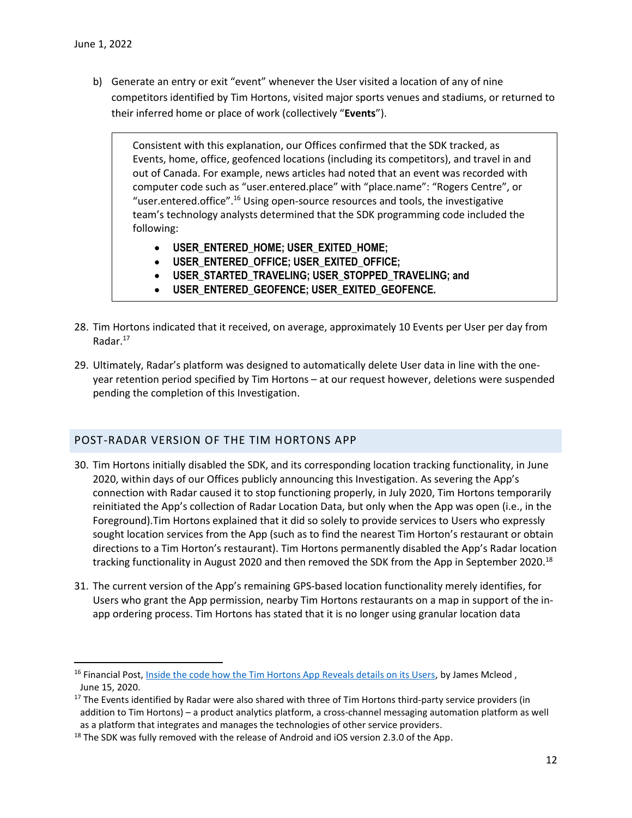l

b) Generate an entry or exit "event" whenever the User visited a location of any of nine competitors identified by Tim Hortons, visited major sports venues and stadiums, or returned to their inferred home or place of work (collectively "**Events**").

Consistent with this explanation, our Offices confirmed that the SDK tracked, as Events, home, office, geofenced locations (including its competitors), and travel in and out of Canada. For example, news articles had noted that an event was recorded with computer code such as "user.entered.place" with "place.name": "Rogers Centre", or "user.entered.office".<sup>16</sup> Using open-source resources and tools, the investigative team's technology analysts determined that the SDK programming code included the following:

- **USER\_ENTERED\_HOME; USER\_EXITED\_HOME;**
- **USER\_ENTERED\_OFFICE; USER\_EXITED\_OFFICE;**
- **USER\_STARTED\_TRAVELING; USER\_STOPPED\_TRAVELING; and**
- **USER\_ENTERED\_GEOFENCE; USER\_EXITED\_GEOFENCE.**
- 28. Tim Hortons indicated that it received, on average, approximately 10 Events per User per day from Radar.<sup>17</sup>
- 29. Ultimately, Radar's platform was designed to automatically delete User data in line with the oneyear retention period specified by Tim Hortons – at our request however, deletions were suspended pending the completion of this Investigation.

### <span id="page-11-0"></span>POST-RADAR VERSION OF THE TIM HORTONS APP

- 30. Tim Hortons initially disabled the SDK, and its corresponding location tracking functionality, in June 2020, within days of our Offices publicly announcing this Investigation. As severing the App's connection with Radar caused it to stop functioning properly, in July 2020, Tim Hortons temporarily reinitiated the App's collection of Radar Location Data, but only when the App was open (i.e., in the Foreground).Tim Hortons explained that it did so solely to provide services to Users who expressly sought location services from the App (such as to find the nearest Tim Horton's restaurant or obtain directions to a Tim Horton's restaurant). Tim Hortons permanently disabled the App's Radar location tracking functionality in August 2020 and then removed the SDK from the App in September 2020.<sup>18</sup>
- 31. The current version of the App's remaining GPS-based location functionality merely identifies, for Users who grant the App permission, nearby Tim Hortons restaurants on a map in support of the inapp ordering process. Tim Hortons has stated that it is no longer using granular location data

<sup>&</sup>lt;sup>16</sup> Financial Post, *Inside the code how the Tim Hortons App Reveals details on its Users*, by James Mcleod, June 15, 2020.

<sup>&</sup>lt;sup>17</sup> The Events identified by Radar were also shared with three of Tim Hortons third-party service providers (in addition to Tim Hortons) – a product analytics platform, a cross-channel messaging automation platform as well as a platform that integrates and manages the technologies of other service providers.

<sup>&</sup>lt;sup>18</sup> The SDK was fully removed with the release of Android and iOS version 2.3.0 of the App.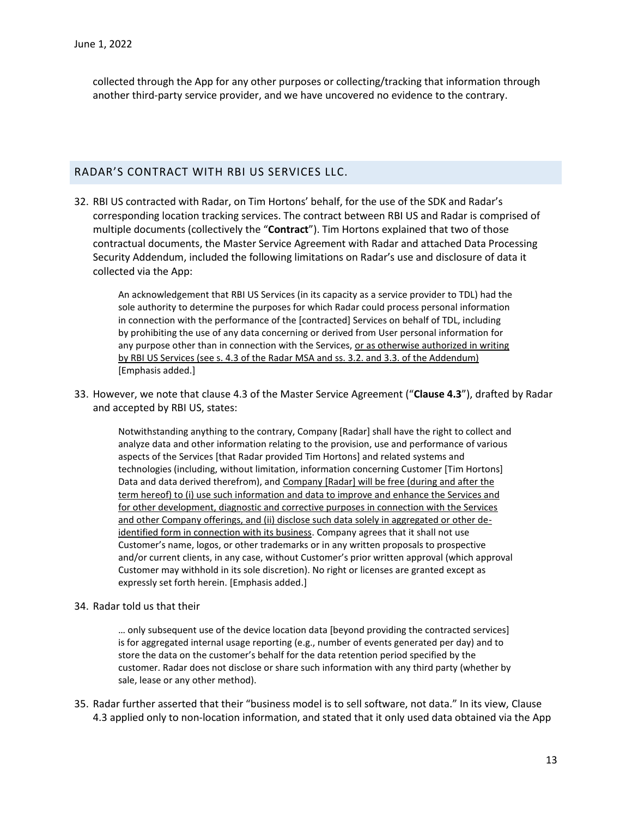collected through the App for any other purposes or collecting/tracking that information through another third-party service provider, and we have uncovered no evidence to the contrary.

#### <span id="page-12-0"></span>RADAR'S CONTRACT WITH RBI US SERVICES LLC.

32. RBI US contracted with Radar, on Tim Hortons' behalf, for the use of the SDK and Radar's corresponding location tracking services. The contract between RBI US and Radar is comprised of multiple documents (collectively the "**Contract**"). Tim Hortons explained that two of those contractual documents, the Master Service Agreement with Radar and attached Data Processing Security Addendum, included the following limitations on Radar's use and disclosure of data it collected via the App:

An acknowledgement that RBI US Services (in its capacity as a service provider to TDL) had the sole authority to determine the purposes for which Radar could process personal information in connection with the performance of the [contracted] Services on behalf of TDL, including by prohibiting the use of any data concerning or derived from User personal information for any purpose other than in connection with the Services, or as otherwise authorized in writing by RBI US Services (see s. 4.3 of the Radar MSA and ss. 3.2. and 3.3. of the Addendum) [Emphasis added.]

33. However, we note that clause 4.3 of the Master Service Agreement ("**Clause 4.3**"), drafted by Radar and accepted by RBI US, states:

Notwithstanding anything to the contrary, Company [Radar] shall have the right to collect and analyze data and other information relating to the provision, use and performance of various aspects of the Services [that Radar provided Tim Hortons] and related systems and technologies (including, without limitation, information concerning Customer [Tim Hortons] Data and data derived therefrom), and Company [Radar] will be free (during and after the term hereof) to (i) use such information and data to improve and enhance the Services and for other development, diagnostic and corrective purposes in connection with the Services and other Company offerings, and (ii) disclose such data solely in aggregated or other deidentified form in connection with its business. Company agrees that it shall not use Customer's name, logos, or other trademarks or in any written proposals to prospective and/or current clients, in any case, without Customer's prior written approval (which approval Customer may withhold in its sole discretion). No right or licenses are granted except as expressly set forth herein. [Emphasis added.]

34. Radar told us that their

… only subsequent use of the device location data [beyond providing the contracted services] is for aggregated internal usage reporting (e.g., number of events generated per day) and to store the data on the customer's behalf for the data retention period specified by the customer. Radar does not disclose or share such information with any third party (whether by sale, lease or any other method).

35. Radar further asserted that their "business model is to sell software, not data." In its view, Clause 4.3 applied only to non-location information, and stated that it only used data obtained via the App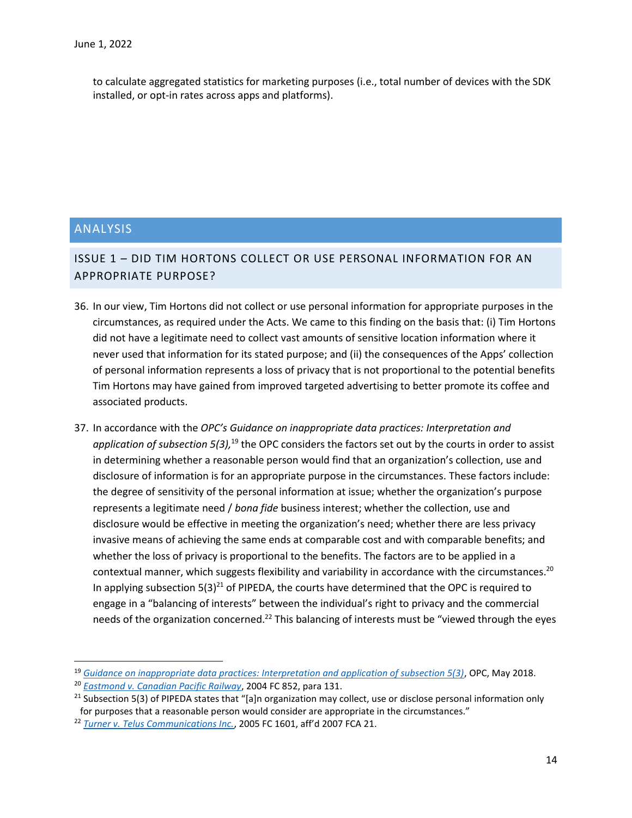to calculate aggregated statistics for marketing purposes (i.e., total number of devices with the SDK installed, or opt-in rates across apps and platforms).

### <span id="page-13-0"></span>ANALYSIS

 $\overline{\phantom{a}}$ 

## <span id="page-13-1"></span>ISSUE 1 – DID TIM HORTONS COLLECT OR USE PERSONAL INFORMATION FOR AN APPROPRIATE PURPOSE?

- 36. In our view, Tim Hortons did not collect or use personal information for appropriate purposes in the circumstances, as required under the Acts. We came to this finding on the basis that: (i) Tim Hortons did not have a legitimate need to collect vast amounts of sensitive location information where it never used that information for its stated purpose; and (ii) the consequences of the Apps' collection of personal information represents a loss of privacy that is not proportional to the potential benefits Tim Hortons may have gained from improved targeted advertising to better promote its coffee and associated products.
- 37. In accordance with the *OPC's Guidance on inappropriate data practices: Interpretation and*  application of subsection 5(3),<sup>19</sup> the OPC considers the factors set out by the courts in order to assist in determining whether a reasonable person would find that an organization's collection, use and disclosure of information is for an appropriate purpose in the circumstances. These factors include: the degree of sensitivity of the personal information at issue; whether the organization's purpose represents a legitimate need / *bona fide* business interest; whether the collection, use and disclosure would be effective in meeting the organization's need; whether there are less privacy invasive means of achieving the same ends at comparable cost and with comparable benefits; and whether the loss of privacy is proportional to the benefits. The factors are to be applied in a contextual manner, which suggests flexibility and variability in accordance with the circumstances.<sup>20</sup> In applying subsection  $5(3)^{21}$  of PIPEDA, the courts have determined that the OPC is required to engage in a "balancing of interests" between the individual's right to privacy and the commercial needs of the organization concerned.<sup>22</sup> This balancing of interests must be "viewed through the eyes

<sup>19</sup> *[Guidance on inappropriate data practices: Interpretation and application of subsection 5\(3\)](https://www.priv.gc.ca/en/privacy-topics/collecting-personal-information/consent/gd_53_201805/)*, OPC, May 2018.

<sup>20</sup> *[Eastmond v. Canadian Pacific Railway](https://www.canlii.org/en/ca/fct/doc/2004/2004fc852/2004fc852.html)*, 2004 FC 852, para 131.

 $21$  Subsection 5(3) of PIPEDA states that "[a]n organization may collect, use or disclose personal information only for purposes that a reasonable person would consider are appropriate in the circumstances."

<sup>22</sup> *[Turner v. Telus Communications Inc.](https://www.canlii.org/en/ca/fct/doc/2005/2005fc1601/2005fc1601.html)*, 2005 FC 1601, aff'd 2007 FCA 21.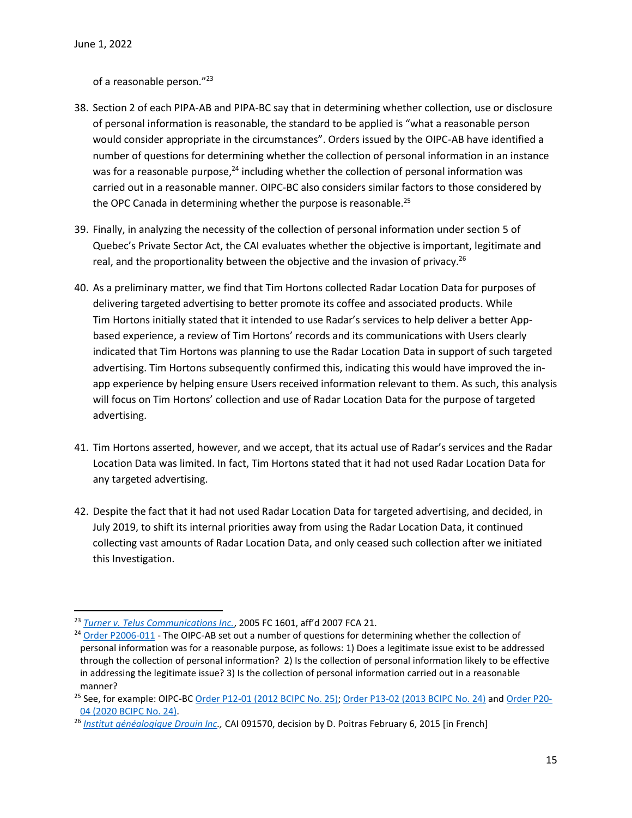$\overline{\phantom{a}}$ 

of a reasonable person."<sup>23</sup>

- 38. Section 2 of each PIPA-AB and PIPA-BC say that in determining whether collection, use or disclosure of personal information is reasonable, the standard to be applied is "what a reasonable person would consider appropriate in the circumstances". Orders issued by the OIPC-AB have identified a number of questions for determining whether the collection of personal information in an instance was for a reasonable purpose, $24$  including whether the collection of personal information was carried out in a reasonable manner. OIPC-BC also considers similar factors to those considered by the OPC Canada in determining whether the purpose is reasonable. $^{25}$
- 39. Finally, in analyzing the necessity of the collection of personal information under section 5 of Quebec's Private Sector Act, the CAI evaluates whether the objective is important, legitimate and real, and the proportionality between the objective and the invasion of privacy.<sup>26</sup>
- 40. As a preliminary matter, we find that Tim Hortons collected Radar Location Data for purposes of delivering targeted advertising to better promote its coffee and associated products. While Tim Hortons initially stated that it intended to use Radar's services to help deliver a better Appbased experience, a review of Tim Hortons' records and its communications with Users clearly indicated that Tim Hortons was planning to use the Radar Location Data in support of such targeted advertising. Tim Hortons subsequently confirmed this, indicating this would have improved the inapp experience by helping ensure Users received information relevant to them. As such, this analysis will focus on Tim Hortons' collection and use of Radar Location Data for the purpose of targeted advertising.
- 41. Tim Hortons asserted, however, and we accept, that its actual use of Radar's services and the Radar Location Data was limited. In fact, Tim Hortons stated that it had not used Radar Location Data for any targeted advertising.
- 42. Despite the fact that it had not used Radar Location Data for targeted advertising, and decided, in July 2019, to shift its internal priorities away from using the Radar Location Data, it continued collecting vast amounts of Radar Location Data, and only ceased such collection after we initiated this Investigation.

<sup>23</sup> *[Turner v. Telus Communications Inc.](https://www.canlii.org/en/ca/fct/doc/2005/2005fc1601/2005fc1601.html)*, 2005 FC 1601, aff'd 2007 FCA 21.

<sup>&</sup>lt;sup>24</sup> [Order P2006-011](https://www.oipc.ab.ca/media/124981/P2006-011Order.pdf) - The OIPC-AB set out a number of questions for determining whether the collection of personal information was for a reasonable purpose, as follows: 1) Does a legitimate issue exist to be addressed through the collection of personal information? 2) Is the collection of personal information likely to be effective in addressing the legitimate issue? 3) Is the collection of personal information carried out in a reasonable manner?

<sup>&</sup>lt;sup>25</sup> See, for example: OIPC-B[C Order P12-01 \(2012 BCIPC No. 25\);](https://www.oipc.bc.ca/orders/1491) [Order P13-02 \(2013 BCIPC No. 24\)](https://www.oipc.bc.ca/orders/1565) an[d Order P20-](https://www.oipc.bc.ca/orders/2423) [04 \(2020 BCIPC No. 24\).](https://www.oipc.bc.ca/orders/2423)

<sup>26</sup> *[Institut généalogique Drouin Inc.](https://decisions.cai.gouv.qc.ca/cai/ss/fr/item/351803/index.do),* CAI 091570, decision by D. Poitras February 6, 2015 [in French]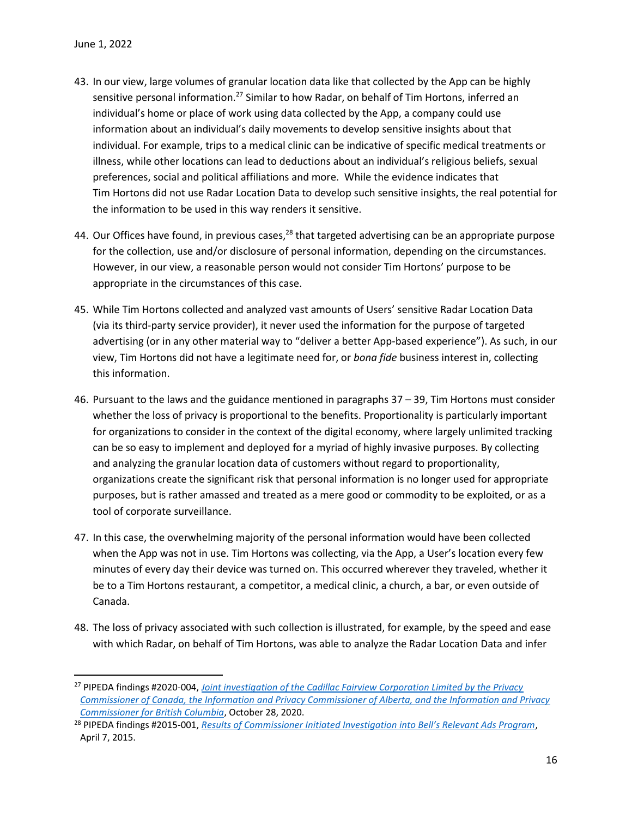$\overline{\phantom{a}}$ 

- 43. In our view, large volumes of granular location data like that collected by the App can be highly sensitive personal information.<sup>27</sup> Similar to how Radar, on behalf of Tim Hortons, inferred an individual's home or place of work using data collected by the App, a company could use information about an individual's daily movements to develop sensitive insights about that individual. For example, trips to a medical clinic can be indicative of specific medical treatments or illness, while other locations can lead to deductions about an individual's religious beliefs, sexual preferences, social and political affiliations and more. While the evidence indicates that Tim Hortons did not use Radar Location Data to develop such sensitive insights, the real potential for the information to be used in this way renders it sensitive.
- 44. Our Offices have found, in previous cases,<sup>28</sup> that targeted advertising can be an appropriate purpose for the collection, use and/or disclosure of personal information, depending on the circumstances. However, in our view, a reasonable person would not consider Tim Hortons' purpose to be appropriate in the circumstances of this case.
- 45. While Tim Hortons collected and analyzed vast amounts of Users' sensitive Radar Location Data (via its third-party service provider), it never used the information for the purpose of targeted advertising (or in any other material way to "deliver a better App-based experience"). As such, in our view, Tim Hortons did not have a legitimate need for, or *bona fide* business interest in, collecting this information.
- 46. Pursuant to the laws and the guidance mentioned in paragraphs 37 39, Tim Hortons must consider whether the loss of privacy is proportional to the benefits. Proportionality is particularly important for organizations to consider in the context of the digital economy, where largely unlimited tracking can be so easy to implement and deployed for a myriad of highly invasive purposes. By collecting and analyzing the granular location data of customers without regard to proportionality, organizations create the significant risk that personal information is no longer used for appropriate purposes, but is rather amassed and treated as a mere good or commodity to be exploited, or as a tool of corporate surveillance.
- 47. In this case, the overwhelming majority of the personal information would have been collected when the App was not in use. Tim Hortons was collecting, via the App, a User's location every few minutes of every day their device was turned on. This occurred wherever they traveled, whether it be to a Tim Hortons restaurant, a competitor, a medical clinic, a church, a bar, or even outside of Canada.
- 48. The loss of privacy associated with such collection is illustrated, for example, by the speed and ease with which Radar, on behalf of Tim Hortons, was able to analyze the Radar Location Data and infer

<sup>27</sup> PIPEDA findings #2020-004, *[Joint investigation of the Cadillac Fairview Corporation Limited by the Privacy](https://www.priv.gc.ca/en/opc-actions-and-decisions/investigations/investigations-into-businesses/2020/pipeda-2020-004/)  [Commissioner of Canada, the Information and Privacy Commissioner of Alberta, and the Information and Privacy](https://www.priv.gc.ca/en/opc-actions-and-decisions/investigations/investigations-into-businesses/2020/pipeda-2020-004/)  [Commissioner for British Columbia](https://www.priv.gc.ca/en/opc-actions-and-decisions/investigations/investigations-into-businesses/2020/pipeda-2020-004/)*, October 28, 2020.

<sup>28</sup> PIPEDA findings #2015-001, *[Results of Commissioner Initiated Investigation into Bell's Relevant Ads Program](https://www.priv.gc.ca/en/opc-actions-and-decisions/investigations/investigations-into-businesses/2015/pipeda-2015-001/)*, April 7, 2015.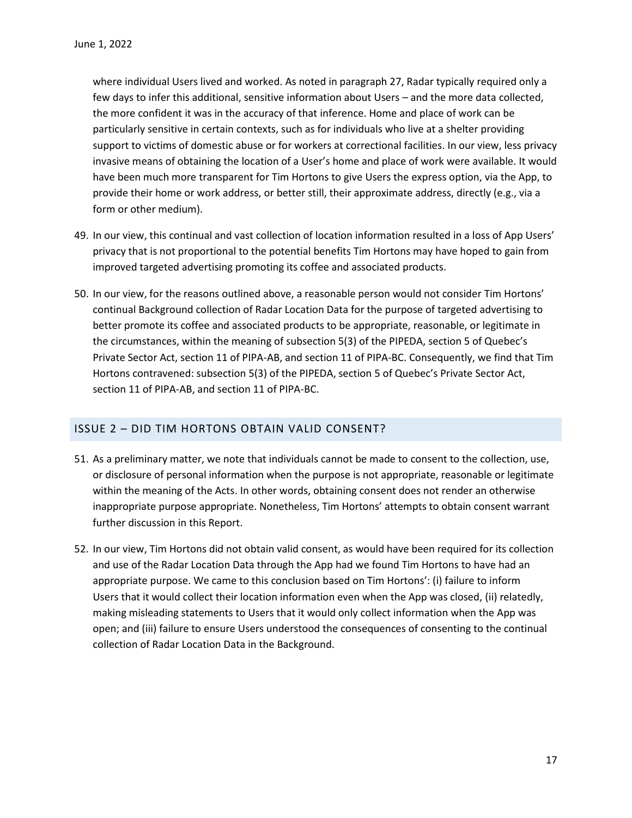where individual Users lived and worked. As noted in paragraph 27, Radar typically required only a few days to infer this additional, sensitive information about Users – and the more data collected, the more confident it was in the accuracy of that inference. Home and place of work can be particularly sensitive in certain contexts, such as for individuals who live at a shelter providing support to victims of domestic abuse or for workers at correctional facilities. In our view, less privacy invasive means of obtaining the location of a User's home and place of work were available. It would have been much more transparent for Tim Hortons to give Users the express option, via the App, to provide their home or work address, or better still, their approximate address, directly (e.g., via a form or other medium).

- 49. In our view, this continual and vast collection of location information resulted in a loss of App Users' privacy that is not proportional to the potential benefits Tim Hortons may have hoped to gain from improved targeted advertising promoting its coffee and associated products.
- 50. In our view, for the reasons outlined above, a reasonable person would not consider Tim Hortons' continual Background collection of Radar Location Data for the purpose of targeted advertising to better promote its coffee and associated products to be appropriate, reasonable, or legitimate in the circumstances, within the meaning of subsection 5(3) of the PIPEDA, section 5 of Quebec's Private Sector Act, section 11 of PIPA-AB, and section 11 of PIPA-BC. Consequently, we find that Tim Hortons contravened: subsection 5(3) of the PIPEDA, section 5 of Quebec's Private Sector Act, section 11 of PIPA-AB, and section 11 of PIPA-BC.

### <span id="page-16-0"></span>ISSUE 2 – DID TIM HORTONS OBTAIN VALID CONSENT?

- 51. As a preliminary matter, we note that individuals cannot be made to consent to the collection, use, or disclosure of personal information when the purpose is not appropriate, reasonable or legitimate within the meaning of the Acts. In other words, obtaining consent does not render an otherwise inappropriate purpose appropriate. Nonetheless, Tim Hortons' attempts to obtain consent warrant further discussion in this Report.
- 52. In our view, Tim Hortons did not obtain valid consent, as would have been required for its collection and use of the Radar Location Data through the App had we found Tim Hortons to have had an appropriate purpose. We came to this conclusion based on Tim Hortons': (i) failure to inform Users that it would collect their location information even when the App was closed, (ii) relatedly, making misleading statements to Users that it would only collect information when the App was open; and (iii) failure to ensure Users understood the consequences of consenting to the continual collection of Radar Location Data in the Background.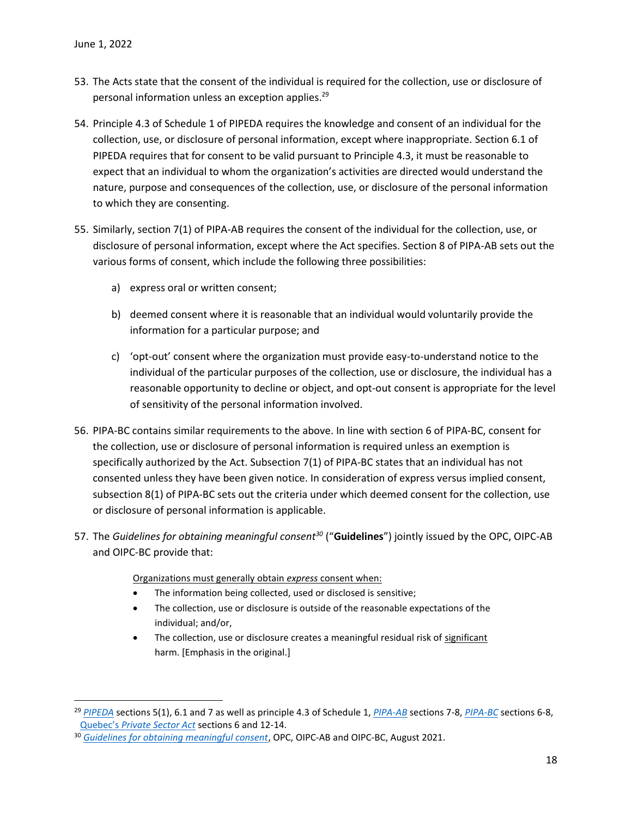$\overline{a}$ 

- 53. The Acts state that the consent of the individual is required for the collection, use or disclosure of personal information unless an exception applies.<sup>29</sup>
- 54. Principle 4.3 of Schedule 1 of PIPEDA requires the knowledge and consent of an individual for the collection, use, or disclosure of personal information, except where inappropriate. Section 6.1 of PIPEDA requires that for consent to be valid pursuant to Principle 4.3, it must be reasonable to expect that an individual to whom the organization's activities are directed would understand the nature, purpose and consequences of the collection, use, or disclosure of the personal information to which they are consenting.
- 55. Similarly, section 7(1) of PIPA-AB requires the consent of the individual for the collection, use, or disclosure of personal information, except where the Act specifies. Section 8 of PIPA-AB sets out the various forms of consent, which include the following three possibilities:
	- a) express oral or written consent;
	- b) deemed consent where it is reasonable that an individual would voluntarily provide the information for a particular purpose; and
	- c) 'opt-out' consent where the organization must provide easy-to-understand notice to the individual of the particular purposes of the collection, use or disclosure, the individual has a reasonable opportunity to decline or object, and opt-out consent is appropriate for the level of sensitivity of the personal information involved.
- 56. PIPA-BC contains similar requirements to the above. In line with section 6 of PIPA-BC, consent for the collection, use or disclosure of personal information is required unless an exemption is specifically authorized by the Act. Subsection 7(1) of PIPA-BC states that an individual has not consented unless they have been given notice. In consideration of express versus implied consent, subsection 8(1) of PIPA-BC sets out the criteria under which deemed consent for the collection, use or disclosure of personal information is applicable.
- 57. The *Guidelines for obtaining meaningful consent<sup>30</sup>* ("**Guidelines**") jointly issued by the OPC, OIPC-AB and OIPC-BC provide that:

Organizations must generally obtain *express* consent when:

- The information being collected, used or disclosed is sensitive;
- The collection, use or disclosure is outside of the reasonable expectations of the individual; and/or,
- The collection, use or disclosure creates a meaningful residual risk of significant harm. [Emphasis in the original.]

<sup>29</sup> *[PIPEDA](https://laws-lois.justice.gc.ca/eng/acts/p-8.6/page-1.html)* sections 5(1), 6.1 and 7 as well as principle 4.3 of Schedule 1, *[PIPA-AB](https://www.qp.alberta.ca/1266.cfm?page=P06P5.cfm&leg_type=Acts&isbncln=9780779814381&display=html)* sections 7-8, *[PIPA-BC](https://www.bclaws.gov.bc.ca/civix/document/id/complete/statreg/00_03063_01)* sections 6-8, Quebec's *[Private Sector Act](http://legisquebec.gouv.qc.ca/en/ShowDoc/cs/P-39.1)* sections 6 and 12-14.

<sup>30</sup> *[Guidelines for obtaining meaningful consent](https://www.priv.gc.ca/en/privacy-topics/collecting-personal-information/consent/gl_omc_201805/)*, OPC, OIPC-AB and OIPC-BC, August 2021.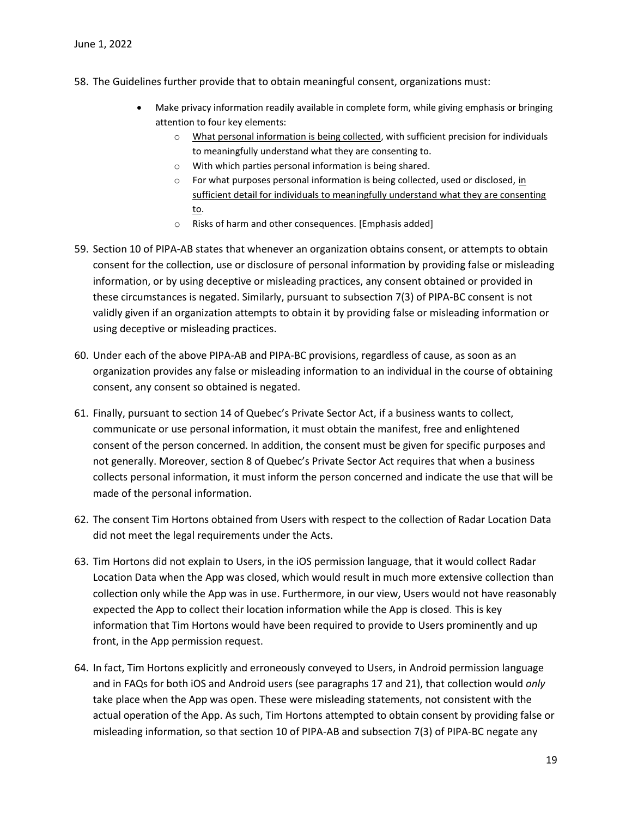- 58. The Guidelines further provide that to obtain meaningful consent, organizations must:
	- Make privacy information readily available in complete form, while giving emphasis or bringing attention to four key elements:
		- o What personal information is being collected, with sufficient precision for individuals to meaningfully understand what they are consenting to.
		- o With which parties personal information is being shared.
		- $\circ$  For what purposes personal information is being collected, used or disclosed, in sufficient detail for individuals to meaningfully understand what they are consenting to.
		- o Risks of harm and other consequences. [Emphasis added]
- 59. Section 10 of PIPA-AB states that whenever an organization obtains consent, or attempts to obtain consent for the collection, use or disclosure of personal information by providing false or misleading information, or by using deceptive or misleading practices, any consent obtained or provided in these circumstances is negated. Similarly, pursuant to subsection 7(3) of PIPA-BC consent is not validly given if an organization attempts to obtain it by providing false or misleading information or using deceptive or misleading practices.
- 60. Under each of the above PIPA-AB and PIPA-BC provisions, regardless of cause, as soon as an organization provides any false or misleading information to an individual in the course of obtaining consent, any consent so obtained is negated.
- 61. Finally, pursuant to section 14 of Quebec's Private Sector Act, if a business wants to collect, communicate or use personal information, it must obtain the manifest, free and enlightened consent of the person concerned. In addition, the consent must be given for specific purposes and not generally. Moreover, section 8 of Quebec's Private Sector Act requires that when a business collects personal information, it must inform the person concerned and indicate the use that will be made of the personal information.
- 62. The consent Tim Hortons obtained from Users with respect to the collection of Radar Location Data did not meet the legal requirements under the Acts.
- 63. Tim Hortons did not explain to Users, in the iOS permission language, that it would collect Radar Location Data when the App was closed, which would result in much more extensive collection than collection only while the App was in use. Furthermore, in our view, Users would not have reasonably expected the App to collect their location information while the App is closed. This is key information that Tim Hortons would have been required to provide to Users prominently and up front, in the App permission request.
- 64. In fact, Tim Hortons explicitly and erroneously conveyed to Users, in Android permission language and in FAQs for both iOS and Android users (see paragraphs 17 and 21), that collection would *only* take place when the App was open. These were misleading statements, not consistent with the actual operation of the App. As such, Tim Hortons attempted to obtain consent by providing false or misleading information, so that section 10 of PIPA-AB and subsection 7(3) of PIPA-BC negate any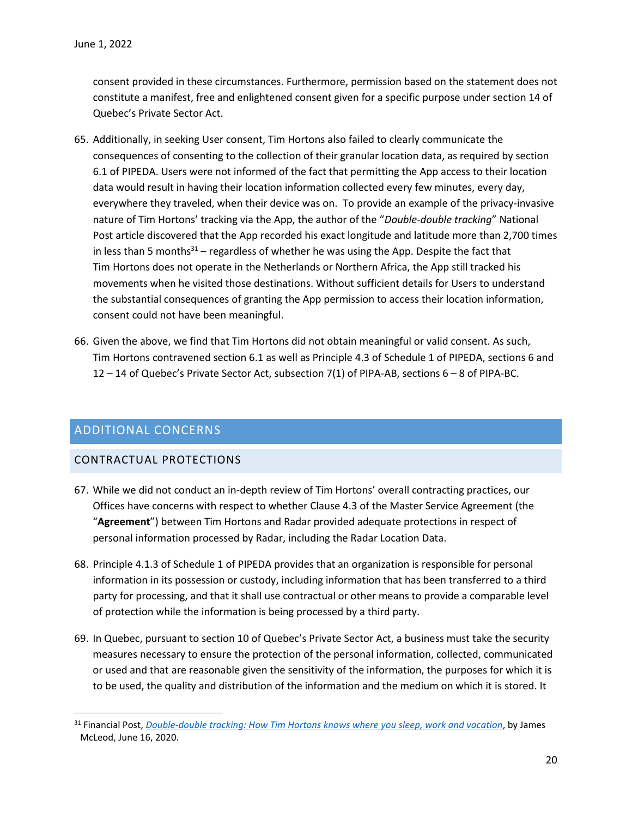consent provided in these circumstances. Furthermore, permission based on the statement does not constitute a manifest, free and enlightened consent given for a specific purpose under section 14 of Quebec's Private Sector Act.

- 65. Additionally, in seeking User consent, Tim Hortons also failed to clearly communicate the consequences of consenting to the collection of their granular location data, as required by section 6.1 of PIPEDA. Users were not informed of the fact that permitting the App access to their location data would result in having their location information collected every few minutes, every day, everywhere they traveled, when their device was on. To provide an example of the privacy-invasive nature of Tim Hortons' tracking via the App, the author of the "*Double-double tracking*" National Post article discovered that the App recorded his exact longitude and latitude more than 2,700 times in less than 5 months<sup>31</sup> – regardless of whether he was using the App. Despite the fact that Tim Hortons does not operate in the Netherlands or Northern Africa, the App still tracked his movements when he visited those destinations. Without sufficient details for Users to understand the substantial consequences of granting the App permission to access their location information, consent could not have been meaningful.
- 66. Given the above, we find that Tim Hortons did not obtain meaningful or valid consent. As such, Tim Hortons contravened section 6.1 as well as Principle 4.3 of Schedule 1 of PIPEDA, sections 6 and 12 – 14 of Quebec's Private Sector Act, subsection 7(1) of PIPA-AB, sections 6 – 8 of PIPA-BC.

### <span id="page-19-0"></span>ADDITIONAL CONCERNS

 $\overline{\phantom{a}}$ 

### <span id="page-19-1"></span>CONTRACTUAL PROTECTIONS

- 67. While we did not conduct an in-depth review of Tim Hortons' overall contracting practices, our Offices have concerns with respect to whether Clause 4.3 of the Master Service Agreement (the "**Agreement**") between Tim Hortons and Radar provided adequate protections in respect of personal information processed by Radar, including the Radar Location Data.
- 68. Principle 4.1.3 of Schedule 1 of PIPEDA provides that an organization is responsible for personal information in its possession or custody, including information that has been transferred to a third party for processing, and that it shall use contractual or other means to provide a comparable level of protection while the information is being processed by a third party.
- 69. In Quebec, pursuant to section 10 of Quebec's Private Sector Act, a business must take the security measures necessary to ensure the protection of the personal information, collected, communicated or used and that are reasonable given the sensitivity of the information, the purposes for which it is to be used, the quality and distribution of the information and the medium on which it is stored. It

<sup>&</sup>lt;sup>31</sup> Financial Post, *[Double-double tracking: How Tim Hortons knows where you sleep, work and vacation](https://financialpost.com/technology/tim-hortons-app-tracking-customers-intimate-data)*, by James McLeod, June 16, 2020.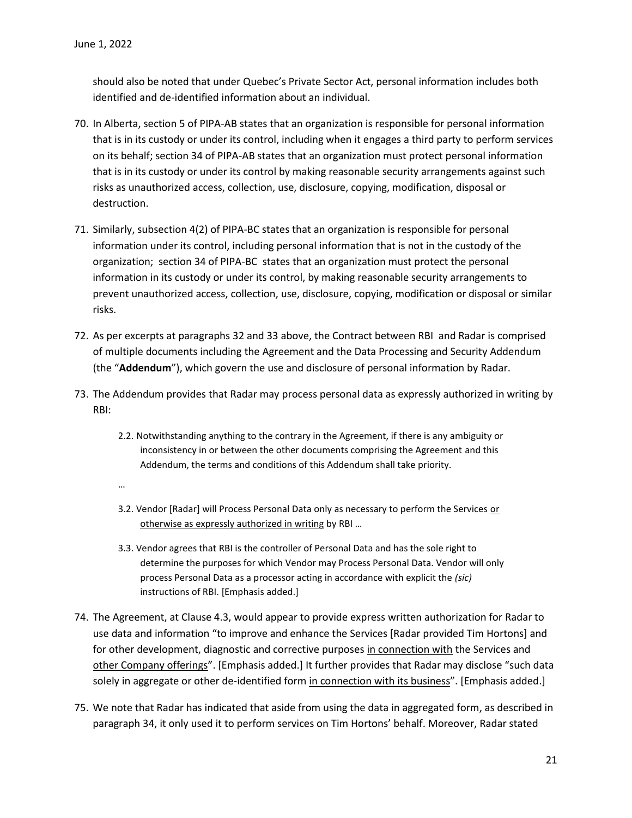…

should also be noted that under Quebec's Private Sector Act, personal information includes both identified and de-identified information about an individual.

- 70. In Alberta, section 5 of PIPA-AB states that an organization is responsible for personal information that is in its custody or under its control, including when it engages a third party to perform services on its behalf; section 34 of PIPA-AB states that an organization must protect personal information that is in its custody or under its control by making reasonable security arrangements against such risks as unauthorized access, collection, use, disclosure, copying, modification, disposal or destruction.
- 71. Similarly, subsection 4(2) of PIPA-BC states that an organization is responsible for personal information under its control, including personal information that is not in the custody of the organization; section 34 of PIPA-BC states that an organization must protect the personal information in its custody or under its control, by making reasonable security arrangements to prevent unauthorized access, collection, use, disclosure, copying, modification or disposal or similar risks.
- 72. As per excerpts at paragraphs 32 and 33 above, the Contract between RBI and Radar is comprised of multiple documents including the Agreement and the Data Processing and Security Addendum (the "**Addendum**"), which govern the use and disclosure of personal information by Radar.
- 73. The Addendum provides that Radar may process personal data as expressly authorized in writing by RBI:
	- 2.2. Notwithstanding anything to the contrary in the Agreement, if there is any ambiguity or inconsistency in or between the other documents comprising the Agreement and this Addendum, the terms and conditions of this Addendum shall take priority.
	- 3.2. Vendor [Radar] will Process Personal Data only as necessary to perform the Services or otherwise as expressly authorized in writing by RBI …
	- 3.3. Vendor agrees that RBI is the controller of Personal Data and has the sole right to determine the purposes for which Vendor may Process Personal Data. Vendor will only process Personal Data as a processor acting in accordance with explicit the *(sic)* instructions of RBI. [Emphasis added.]
- 74. The Agreement, at Clause 4.3, would appear to provide express written authorization for Radar to use data and information "to improve and enhance the Services [Radar provided Tim Hortons] and for other development, diagnostic and corrective purposes in connection with the Services and other Company offerings". [Emphasis added.] It further provides that Radar may disclose "such data solely in aggregate or other de-identified form in connection with its business". [Emphasis added.]
- 75. We note that Radar has indicated that aside from using the data in aggregated form, as described in paragraph 34, it only used it to perform services on Tim Hortons' behalf. Moreover, Radar stated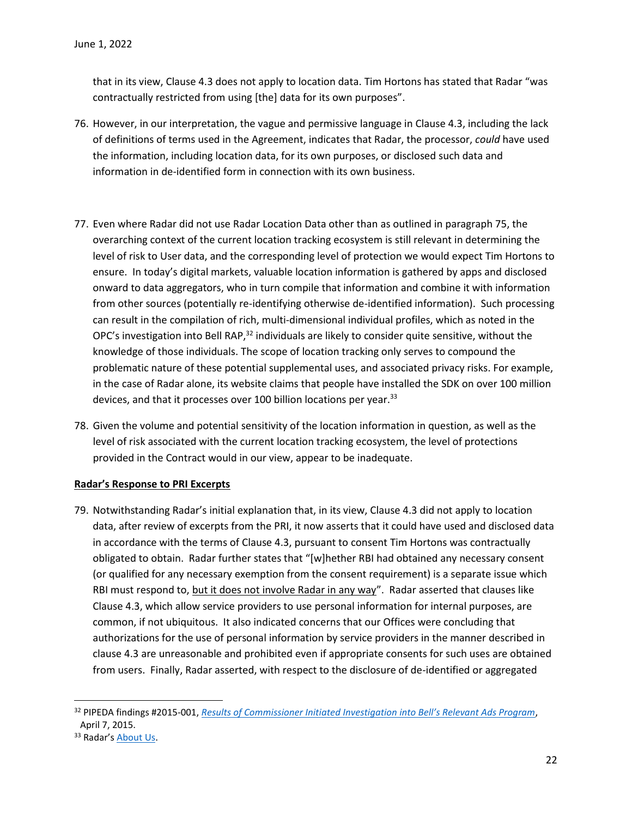that in its view, Clause 4.3 does not apply to location data. Tim Hortons has stated that Radar "was contractually restricted from using [the] data for its own purposes".

- 76. However, in our interpretation, the vague and permissive language in Clause 4.3, including the lack of definitions of terms used in the Agreement, indicates that Radar, the processor, *could* have used the information, including location data, for its own purposes, or disclosed such data and information in de-identified form in connection with its own business.
- 77. Even where Radar did not use Radar Location Data other than as outlined in paragraph 75, the overarching context of the current location tracking ecosystem is still relevant in determining the level of risk to User data, and the corresponding level of protection we would expect Tim Hortons to ensure. In today's digital markets, valuable location information is gathered by apps and disclosed onward to data aggregators, who in turn compile that information and combine it with information from other sources (potentially re-identifying otherwise de-identified information). Such processing can result in the compilation of rich, multi-dimensional individual profiles, which as noted in the OPC's investigation into Bell RAP, $32$  individuals are likely to consider quite sensitive, without the knowledge of those individuals. The scope of location tracking only serves to compound the problematic nature of these potential supplemental uses, and associated privacy risks. For example, in the case of Radar alone, its website claims that people have installed the SDK on over 100 million devices, and that it processes over 100 billion locations per year.<sup>33</sup>
- 78. Given the volume and potential sensitivity of the location information in question, as well as the level of risk associated with the current location tracking ecosystem, the level of protections provided in the Contract would in our view, appear to be inadequate.

#### **Radar's Response to PRI Excerpts**

79. Notwithstanding Radar's initial explanation that, in its view, Clause 4.3 did not apply to location data, after review of excerpts from the PRI, it now asserts that it could have used and disclosed data in accordance with the terms of Clause 4.3, pursuant to consent Tim Hortons was contractually obligated to obtain. Radar further states that "[w]hether RBI had obtained any necessary consent (or qualified for any necessary exemption from the consent requirement) is a separate issue which RBI must respond to, but it does not involve Radar in any way". Radar asserted that clauses like Clause 4.3, which allow service providers to use personal information for internal purposes, are common, if not ubiquitous. It also indicated concerns that our Offices were concluding that authorizations for the use of personal information by service providers in the manner described in clause 4.3 are unreasonable and prohibited even if appropriate consents for such uses are obtained from users. Finally, Radar asserted, with respect to the disclosure of de-identified or aggregated

 $\overline{a}$ 

<sup>32</sup> PIPEDA findings #2015-001, *Results of Commissioner Initi[ated Investigation into Bell's Relevant Ads Program](https://www.priv.gc.ca/en/opc-actions-and-decisions/investigations/investigations-into-businesses/2015/pipeda-2015-001/)*, April 7, 2015.

<sup>33</sup> Radar's [About Us.](https://radar.io/about)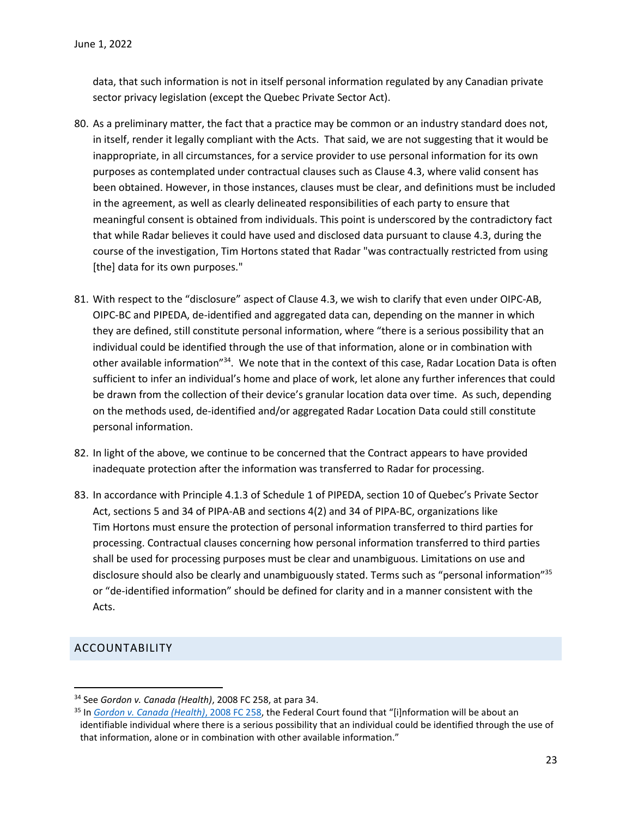data, that such information is not in itself personal information regulated by any Canadian private sector privacy legislation (except the Quebec Private Sector Act).

- 80. As a preliminary matter, the fact that a practice may be common or an industry standard does not, in itself, render it legally compliant with the Acts. That said, we are not suggesting that it would be inappropriate, in all circumstances, for a service provider to use personal information for its own purposes as contemplated under contractual clauses such as Clause 4.3, where valid consent has been obtained. However, in those instances, clauses must be clear, and definitions must be included in the agreement, as well as clearly delineated responsibilities of each party to ensure that meaningful consent is obtained from individuals. This point is underscored by the contradictory fact that while Radar believes it could have used and disclosed data pursuant to clause 4.3, during the course of the investigation, Tim Hortons stated that Radar "was contractually restricted from using [the] data for its own purposes."
- 81. With respect to the "disclosure" aspect of Clause 4.3, we wish to clarify that even under OIPC-AB, OIPC-BC and PIPEDA, de-identified and aggregated data can, depending on the manner in which they are defined, still constitute personal information, where "there is a serious possibility that an individual could be identified through the use of that information, alone or in combination with other available information"<sup>34</sup>. We note that in the context of this case, Radar Location Data is often sufficient to infer an individual's home and place of work, let alone any further inferences that could be drawn from the collection of their device's granular location data over time. As such, depending on the methods used, de-identified and/or aggregated Radar Location Data could still constitute personal information.
- 82. In light of the above, we continue to be concerned that the Contract appears to have provided inadequate protection after the information was transferred to Radar for processing.
- 83. In accordance with Principle 4.1.3 of Schedule 1 of PIPEDA, section 10 of Quebec's Private Sector Act, sections 5 and 34 of PIPA-AB and sections 4(2) and 34 of PIPA-BC, organizations like Tim Hortons must ensure the protection of personal information transferred to third parties for processing. Contractual clauses concerning how personal information transferred to third parties shall be used for processing purposes must be clear and unambiguous. Limitations on use and disclosure should also be clearly and unambiguously stated. Terms such as "personal information"<sup>35</sup> or "de-identified information" should be defined for clarity and in a manner consistent with the Acts.

### <span id="page-22-0"></span>ACCOUNTABILITY

l

<sup>34</sup> See *Gordon v. Canada (Health)*, 2008 FC 258, at para 34.

<sup>35</sup> In *[Gordon v. Canada \(Health\)](https://www.canlii.org/en/ca/fct/doc/2008/2008fc258/2008fc258.html?resultIndex=1)*, 2008 FC 258, the Federal Court found that "[i]nformation will be about an identifiable individual where there is a serious possibility that an individual could be identified through the use of that information, alone or in combination with other available information."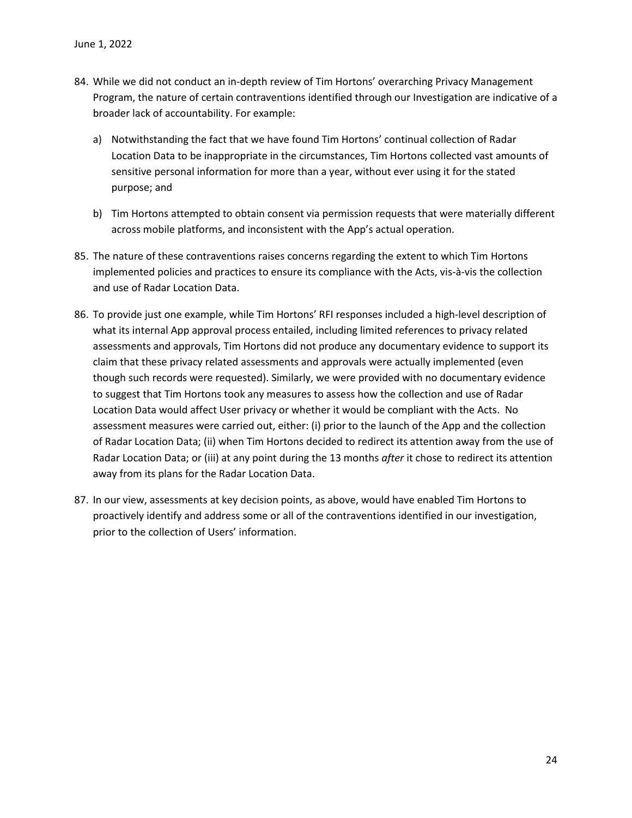- 84. While we did not conduct an in-depth review of Tim Hortons' overarching Privacy Management Program, the nature of certain contraventions identified through our Investigation are indicative of a broader lack of accountability. For example:
	- a) Notwithstanding the fact that we have found Tim Hortons' continual collection of Radar Location Data to be inappropriate in the circumstances, Tim Hortons collected vast amounts of sensitive personal information for more than a year, without ever using it for the stated purpose; and
	- b) Tim Hortons attempted to obtain consent via permission requests that were materially different across mobile platforms, and inconsistent with the App's actual operation.
- 85. The nature of these contraventions raises concerns regarding the extent to which Tim Hortons implemented policies and practices to ensure its compliance with the Acts, vis-à-vis the collection and use of Radar Location Data.
- 86. To provide just one example, while Tim Hortons' RFI responses included a high-level description of what its internal App approval process entailed, including limited references to privacy related assessments and approvals, Tim Hortons did not produce any documentary evidence to support its claim that these privacy related assessments and approvals were actually implemented (even though such records were requested). Similarly, we were provided with no documentary evidence to suggest that Tim Hortons took any measures to assess how the collection and use of Radar Location Data would affect User privacy or whether it would be compliant with the Acts. No assessment measures were carried out, either: (i) prior to the launch of the App and the collection of Radar Location Data; (ii) when Tim Hortons decided to redirect its attention away from the use of Radar Location Data; or (iii) at any point during the 13 months *after* it chose to redirect its attention away from its plans for the Radar Location Data.
- 87. In our view, assessments at key decision points, as above, would have enabled Tim Hortons to proactively identify and address some or all of the contraventions identified in our investigation, prior to the collection of Users' information.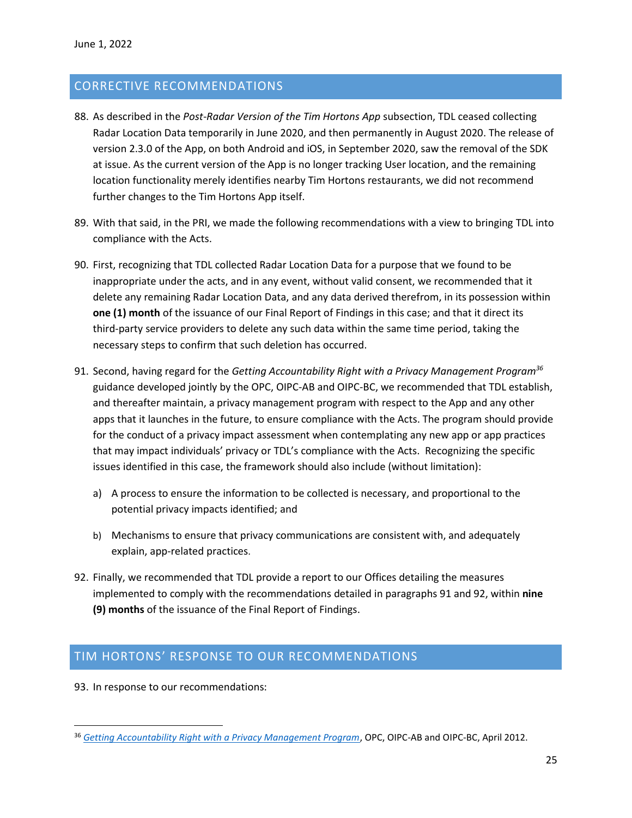### <span id="page-24-0"></span>CORRECTIVE RECOMMENDATIONS

- 88. As described in the *Post-Radar Version of the Tim Hortons App* subsection, TDL ceased collecting Radar Location Data temporarily in June 2020, and then permanently in August 2020. The release of version 2.3.0 of the App, on both Android and iOS, in September 2020, saw the removal of the SDK at issue. As the current version of the App is no longer tracking User location, and the remaining location functionality merely identifies nearby Tim Hortons restaurants, we did not recommend further changes to the Tim Hortons App itself.
- 89. With that said, in the PRI, we made the following recommendations with a view to bringing TDL into compliance with the Acts.
- 90. First, recognizing that TDL collected Radar Location Data for a purpose that we found to be inappropriate under the acts, and in any event, without valid consent, we recommended that it delete any remaining Radar Location Data, and any data derived therefrom, in its possession within **one (1) month** of the issuance of our Final Report of Findings in this case; and that it direct its third-party service providers to delete any such data within the same time period, taking the necessary steps to confirm that such deletion has occurred.
- 91. Second, having regard for the *Getting Accountability Right with a Privacy Management Program<sup>36</sup>* guidance developed jointly by the OPC, OIPC-AB and OIPC-BC, we recommended that TDL establish, and thereafter maintain, a privacy management program with respect to the App and any other apps that it launches in the future, to ensure compliance with the Acts. The program should provide for the conduct of a privacy impact assessment when contemplating any new app or app practices that may impact individuals' privacy or TDL's compliance with the Acts. Recognizing the specific issues identified in this case, the framework should also include (without limitation):
	- a) A process to ensure the information to be collected is necessary, and proportional to the potential privacy impacts identified; and
	- b) Mechanisms to ensure that privacy communications are consistent with, and adequately explain, app-related practices.
- 92. Finally, we recommended that TDL provide a report to our Offices detailing the measures implemented to comply with the recommendations detailed in paragraphs 91 and 92, within **nine (9) months** of the issuance of the Final Report of Findings.

### <span id="page-24-1"></span>TIM HORTONS' RESPONSE TO OUR RECOMMENDATIONS

93. In response to our recommendations:

 $\overline{\phantom{a}}$ 

<sup>36</sup> *[Getting Accountability Right with a Privacy Management Program](https://www.priv.gc.ca/en/privacy-topics/privacy-laws-in-canada/the-personal-information-protection-and-electronic-documents-act-pipeda/pipeda-compliance-help/pipeda-compliance-and-training-tools/gl_acc_201204/)*, OPC, OIPC-AB and OIPC-BC, April 2012.